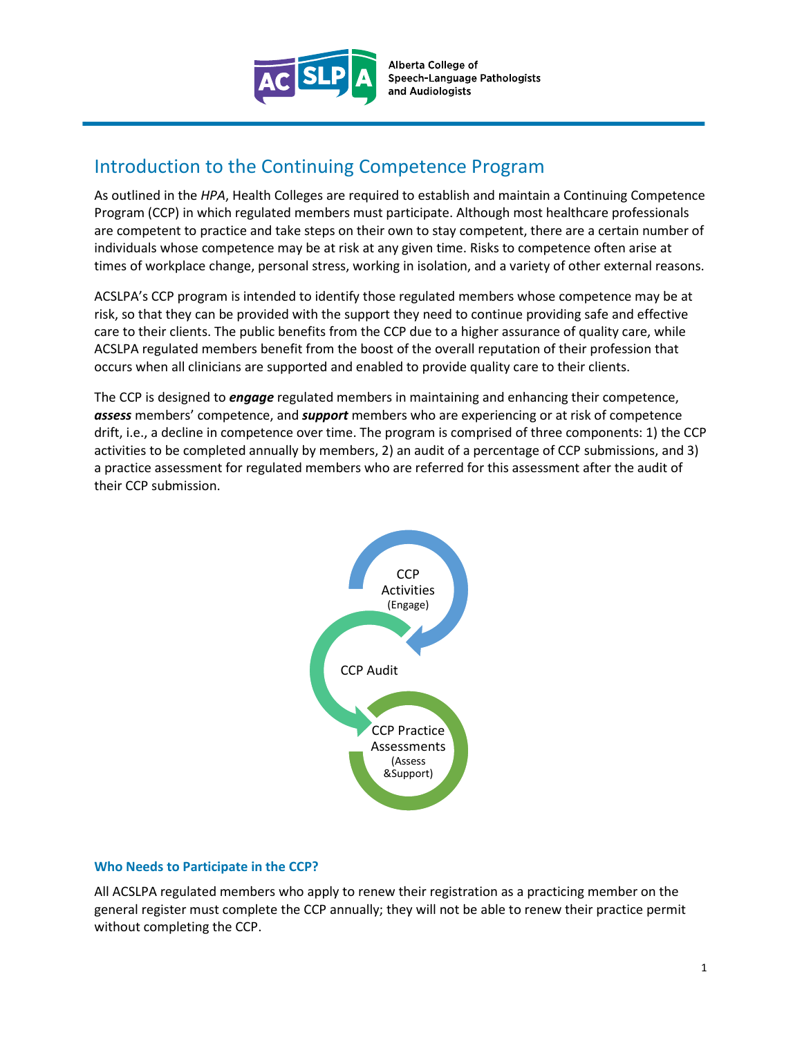

Alberta College of Speech-Language Pathologists and Audiologists

## Introduction to the Continuing Competence Program

As outlined in the *HPA*, Health Colleges are required to establish and maintain a Continuing Competence Program (CCP) in which regulated members must participate. Although most healthcare professionals are competent to practice and take steps on their own to stay competent, there are a certain number of individuals whose competence may be at risk at any given time. Risks to competence often arise at times of workplace change, personal stress, working in isolation, and a variety of other external reasons.

ACSLPA's CCP program is intended to identify those regulated members whose competence may be at risk, so that they can be provided with the support they need to continue providing safe and effective care to their clients. The public benefits from the CCP due to a higher assurance of quality care, while ACSLPA regulated members benefit from the boost of the overall reputation of their profession that occurs when all clinicians are supported and enabled to provide quality care to their clients.

The CCP is designed to *engage* regulated members in maintaining and enhancing their competence, *assess* members' competence, and *support* members who are experiencing or at risk of competence drift, i.e., a decline in competence over time. The program is comprised of three components: 1) the CCP activities to be completed annually by members, 2) an audit of a percentage of CCP submissions, and 3) a practice assessment for regulated members who are referred for this assessment after the audit of their CCP submission.



#### **Who Needs to Participate in the CCP?**

All ACSLPA regulated members who apply to renew their registration as a practicing member on the general register must complete the CCP annually; they will not be able to renew their practice permit without completing the CCP.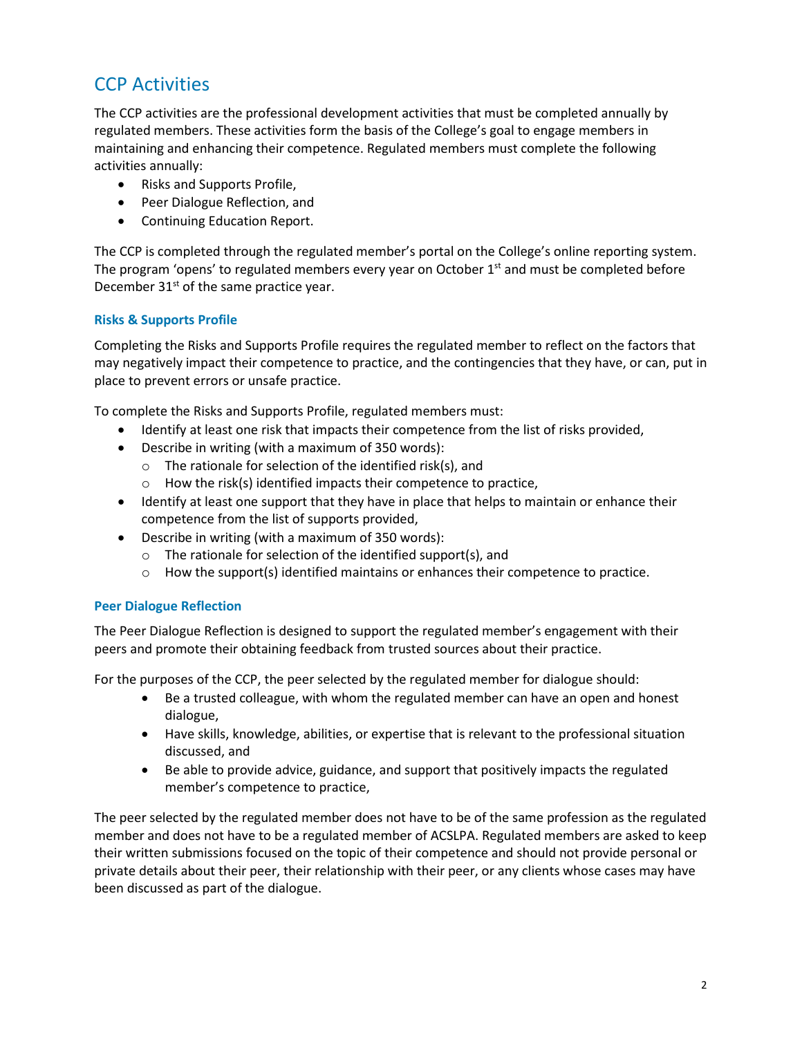# CCP Activities

The CCP activities are the professional development activities that must be completed annually by regulated members. These activities form the basis of the College's goal to engage members in maintaining and enhancing their competence. Regulated members must complete the following activities annually:

- Risks and Supports Profile,
- Peer Dialogue Reflection, and
- Continuing Education Report.

The CCP is completed through the regulated member's portal on the College's online reporting system. The program 'opens' to regulated members every year on October  $1<sup>st</sup>$  and must be completed before December  $31<sup>st</sup>$  of the same practice year.

#### **Risks & Supports Profile**

Completing the Risks and Supports Profile requires the regulated member to reflect on the factors that may negatively impact their competence to practice, and the contingencies that they have, or can, put in place to prevent errors or unsafe practice.

To complete the Risks and Supports Profile, regulated members must:

- Identify at least one risk that impacts their competence from the list of risks provided,
- Describe in writing (with a maximum of 350 words):
	- $\circ$  The rationale for selection of the identified risk(s), and
	- $\circ$  How the risk(s) identified impacts their competence to practice,
- Identify at least one support that they have in place that helps to maintain or enhance their competence from the list of supports provided,
- Describe in writing (with a maximum of 350 words):
	- o The rationale for selection of the identified support(s), and
	- $\circ$  How the support(s) identified maintains or enhances their competence to practice.

#### **Peer Dialogue Reflection**

The Peer Dialogue Reflection is designed to support the regulated member's engagement with their peers and promote their obtaining feedback from trusted sources about their practice.

For the purposes of the CCP, the peer selected by the regulated member for dialogue should:

- Be a trusted colleague, with whom the regulated member can have an open and honest dialogue,
- Have skills, knowledge, abilities, or expertise that is relevant to the professional situation discussed, and
- Be able to provide advice, guidance, and support that positively impacts the regulated member's competence to practice,

The peer selected by the regulated member does not have to be of the same profession as the regulated member and does not have to be a regulated member of ACSLPA. Regulated members are asked to keep their written submissions focused on the topic of their competence and should not provide personal or private details about their peer, their relationship with their peer, or any clients whose cases may have been discussed as part of the dialogue.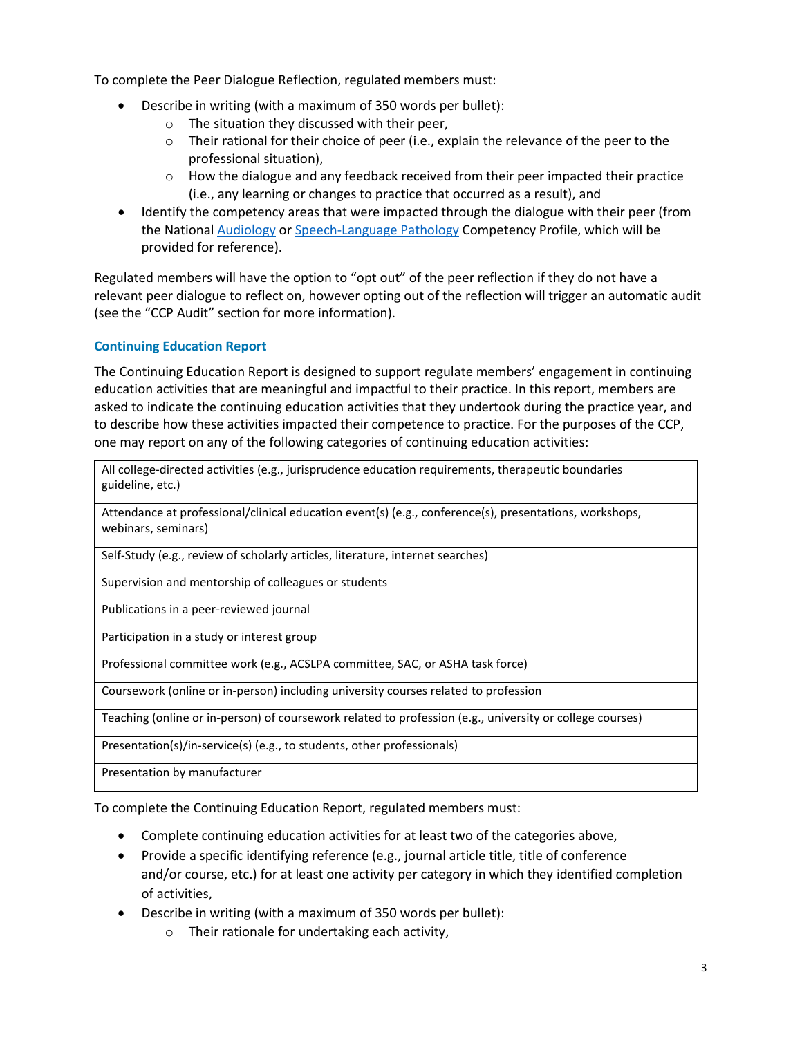To complete the Peer Dialogue Reflection, regulated members must:

- Describe in writing (with a maximum of 350 words per bullet):
	- o The situation they discussed with their peer,
	- $\circ$  Their rational for their choice of peer (i.e., explain the relevance of the peer to the professional situation),
	- $\circ$  How the dialogue and any feedback received from their peer impacted their practice (i.e., any learning or changes to practice that occurred as a result), and
- Identify the competency areas that were impacted through the dialogue with their peer (from the National [Audiology](https://www.acslpa.ca/wp-content/uploads/2019/05/National-Audiology-Competency-Profile-ACSLPA-nov2018.pdf) or [Speech-Language Pathology](https://www.acslpa.ca/wp-content/uploads/2019/05/National-Speech-Language-Pathology-Competency-Profile-ACSLPA-nov-2018.pdf) Competency Profile, which will be provided for reference).

Regulated members will have the option to "opt out" of the peer reflection if they do not have a relevant peer dialogue to reflect on, however opting out of the reflection will trigger an automatic audit (see the "CCP Audit" section for more information).

### **Continuing Education Report**

The Continuing Education Report is designed to support regulate members' engagement in continuing education activities that are meaningful and impactful to their practice. In this report, members are asked to indicate the continuing education activities that they undertook during the practice year, and to describe how these activities impacted their competence to practice. For the purposes of the CCP, one may report on any of the following categories of continuing education activities:

All college-directed activities (e.g., jurisprudence education requirements, therapeutic boundaries guideline, etc.)

Attendance at professional/clinical education event(s) (e.g., conference(s), presentations, workshops, webinars, seminars)

Self-Study (e.g., review of scholarly articles, literature, internet searches)

Supervision and mentorship of colleagues or students

Publications in a peer-reviewed journal

Participation in a study or interest group

Professional committee work (e.g., ACSLPA committee, SAC, or ASHA task force)

Coursework (online or in-person) including university courses related to profession

Teaching (online or in-person) of coursework related to profession (e.g., university or college courses)

Presentation(s)/in-service(s) (e.g., to students, other professionals)

Presentation by manufacturer

To complete the Continuing Education Report, regulated members must:

- Complete continuing education activities for at least two of the categories above,
- Provide a specific identifying reference (e.g., journal article title, title of conference and/or course, etc.) for at least one activity per category in which they identified completion of activities,
- Describe in writing (with a maximum of 350 words per bullet):
	- o Their rationale for undertaking each activity,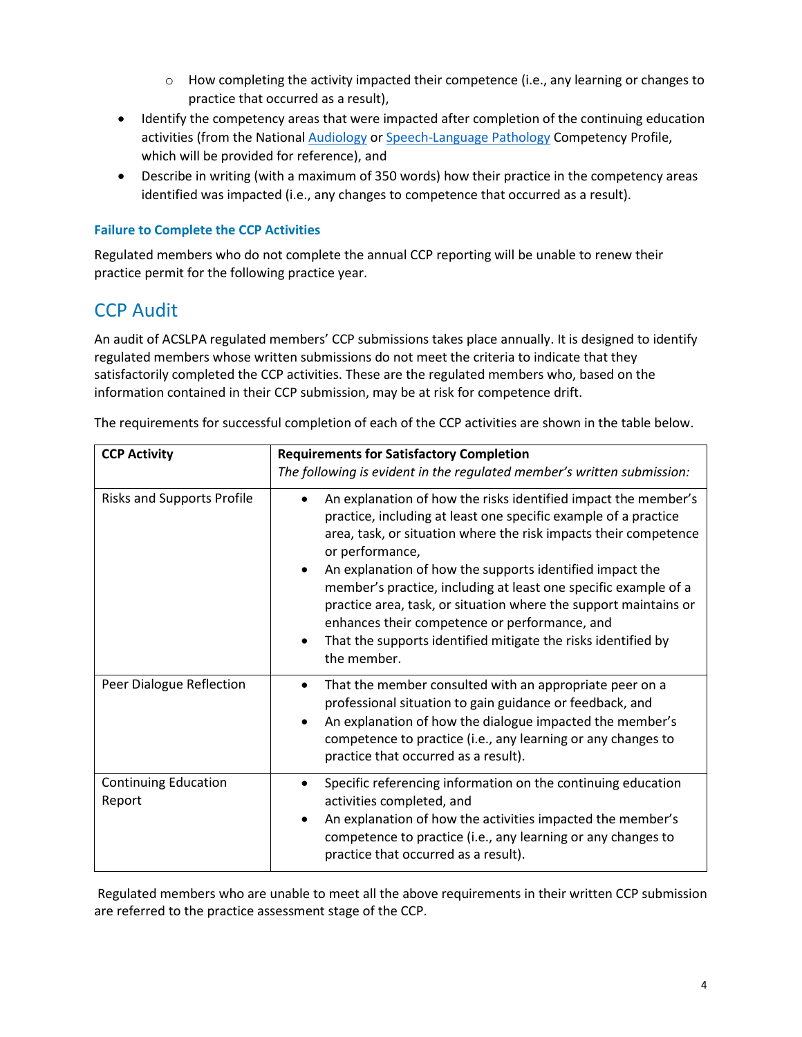- $\circ$  How completing the activity impacted their competence (i.e., any learning or changes to practice that occurred as a result),
- Identify the competency areas that were impacted after completion of the continuing education activities (from the Nationa[l Audiology](https://www.acslpa.ca/wp-content/uploads/2019/05/National-Audiology-Competency-Profile-ACSLPA-nov2018.pdf) or [Speech-Language Pathology](https://www.acslpa.ca/wp-content/uploads/2019/05/National-Speech-Language-Pathology-Competency-Profile-ACSLPA-nov-2018.pdf) Competency Profile, which will be provided for reference), and
- Describe in writing (with a maximum of 350 words) how their practice in the competency areas identified was impacted (i.e., any changes to competence that occurred as a result).

### **Failure to Complete the CCP Activities**

Regulated members who do not complete the annual CCP reporting will be unable to renew their practice permit for the following practice year.

## CCP Audit

An audit of ACSLPA regulated members' CCP submissions takes place annually. It is designed to identify regulated members whose written submissions do not meet the criteria to indicate that they satisfactorily completed the CCP activities. These are the regulated members who, based on the information contained in their CCP submission, may be at risk for competence drift.

| <b>CCP Activity</b>                   | <b>Requirements for Satisfactory Completion</b><br>The following is evident in the regulated member's written submission:                                                                                                                                                                                                                                                                                                                                                                                                                                                 |
|---------------------------------------|---------------------------------------------------------------------------------------------------------------------------------------------------------------------------------------------------------------------------------------------------------------------------------------------------------------------------------------------------------------------------------------------------------------------------------------------------------------------------------------------------------------------------------------------------------------------------|
| <b>Risks and Supports Profile</b>     | An explanation of how the risks identified impact the member's<br>practice, including at least one specific example of a practice<br>area, task, or situation where the risk impacts their competence<br>or performance,<br>An explanation of how the supports identified impact the<br>$\bullet$<br>member's practice, including at least one specific example of a<br>practice area, task, or situation where the support maintains or<br>enhances their competence or performance, and<br>That the supports identified mitigate the risks identified by<br>the member. |
| Peer Dialogue Reflection              | That the member consulted with an appropriate peer on a<br>professional situation to gain guidance or feedback, and<br>An explanation of how the dialogue impacted the member's<br>٠<br>competence to practice (i.e., any learning or any changes to<br>practice that occurred as a result).                                                                                                                                                                                                                                                                              |
| <b>Continuing Education</b><br>Report | Specific referencing information on the continuing education<br>activities completed, and<br>An explanation of how the activities impacted the member's<br>competence to practice (i.e., any learning or any changes to<br>practice that occurred as a result).                                                                                                                                                                                                                                                                                                           |

The requirements for successful completion of each of the CCP activities are shown in the table below.

Regulated members who are unable to meet all the above requirements in their written CCP submission are referred to the practice assessment stage of the CCP.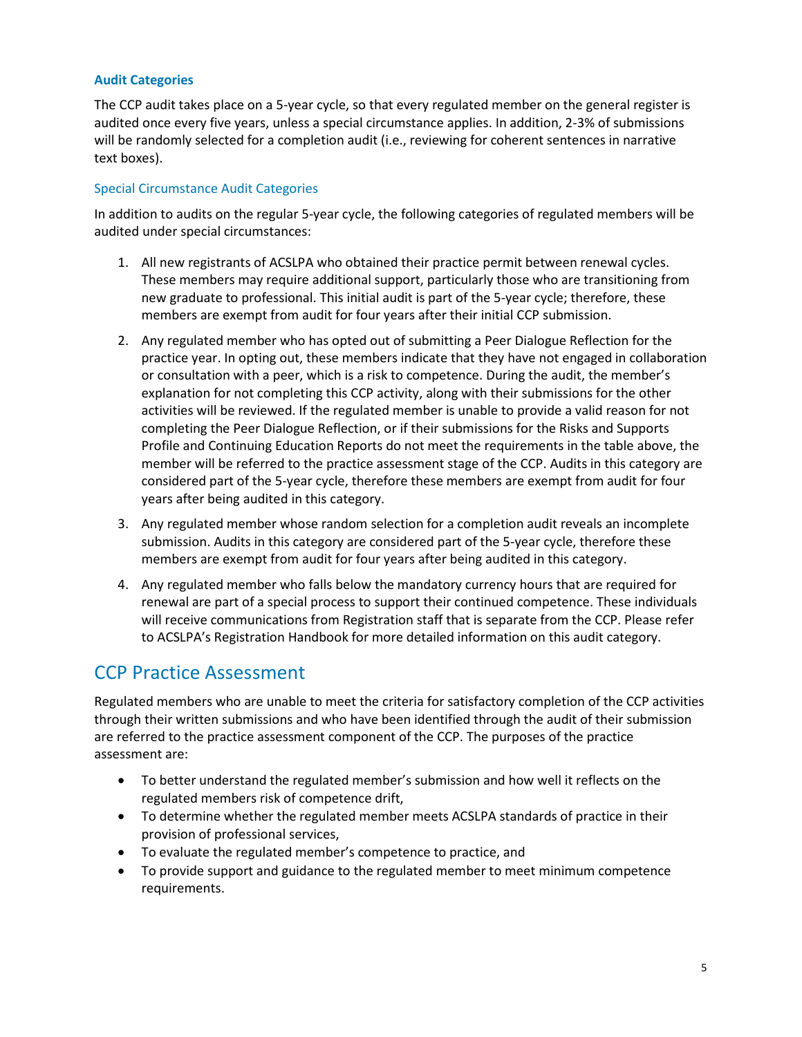#### **Audit Categories**

The CCP audit takes place on a 5-year cycle, so that every regulated member on the general register is audited once every five years, unless a special circumstance applies. In addition, 2-3% of submissions will be randomly selected for a completion audit (i.e., reviewing for coherent sentences in narrative text boxes).

#### Special Circumstance Audit Categories

In addition to audits on the regular 5-year cycle, the following categories of regulated members will be audited under special circumstances:

- 1. All new registrants of ACSLPA who obtained their practice permit between renewal cycles. These members may require additional support, particularly those who are transitioning from new graduate to professional. This initial audit is part of the 5-year cycle; therefore, these members are exempt from audit for four years after their initial CCP submission.
- 2. Any regulated member who has opted out of submitting a Peer Dialogue Reflection for the practice year. In opting out, these members indicate that they have not engaged in collaboration or consultation with a peer, which is a risk to competence. During the audit, the member's explanation for not completing this CCP activity, along with their submissions for the other activities will be reviewed. If the regulated member is unable to provide a valid reason for not completing the Peer Dialogue Reflection, or if their submissions for the Risks and Supports Profile and Continuing Education Reports do not meet the requirements in the table above, the member will be referred to the practice assessment stage of the CCP. Audits in this category are considered part of the 5-year cycle, therefore these members are exempt from audit for four years after being audited in this category.
- 3. Any regulated member whose random selection for a completion audit reveals an incomplete submission. Audits in this category are considered part of the 5-year cycle, therefore these members are exempt from audit for four years after being audited in this category.
- 4. Any regulated member who falls below the mandatory currency hours that are required for renewal are part of a special process to support their continued competence. These individuals will receive communications from Registration staff that is separate from the CCP. Please refer to ACSLPA's Registration Handbook for more detailed information on this audit category.

## CCP Practice Assessment

Regulated members who are unable to meet the criteria for satisfactory completion of the CCP activities through their written submissions and who have been identified through the audit of their submission are referred to the practice assessment component of the CCP. The purposes of the practice assessment are:

- To better understand the regulated member's submission and how well it reflects on the regulated members risk of competence drift,
- To determine whether the regulated member meets ACSLPA standards of practice in their provision of professional services,
- To evaluate the regulated member's competence to practice, and
- To provide support and guidance to the regulated member to meet minimum competence requirements.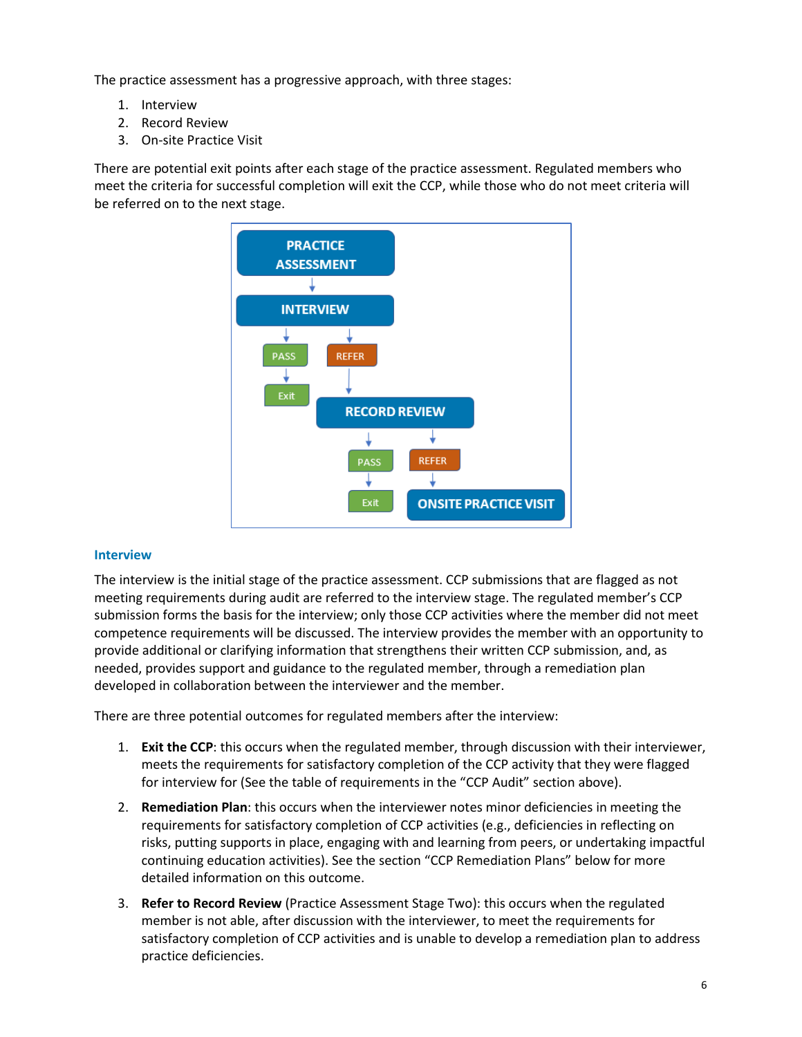The practice assessment has a progressive approach, with three stages:

- 1. Interview
- 2. Record Review
- 3. On-site Practice Visit

There are potential exit points after each stage of the practice assessment. Regulated members who meet the criteria for successful completion will exit the CCP, while those who do not meet criteria will be referred on to the next stage.



#### **Interview**

The interview is the initial stage of the practice assessment. CCP submissions that are flagged as not meeting requirements during audit are referred to the interview stage. The regulated member's CCP submission forms the basis for the interview; only those CCP activities where the member did not meet competence requirements will be discussed. The interview provides the member with an opportunity to provide additional or clarifying information that strengthens their written CCP submission, and, as needed, provides support and guidance to the regulated member, through a remediation plan developed in collaboration between the interviewer and the member.

There are three potential outcomes for regulated members after the interview:

- 1. **Exit the CCP**: this occurs when the regulated member, through discussion with their interviewer, meets the requirements for satisfactory completion of the CCP activity that they were flagged for interview for (See the table of requirements in the "CCP Audit" section above).
- 2. **Remediation Plan**: this occurs when the interviewer notes minor deficiencies in meeting the requirements for satisfactory completion of CCP activities (e.g., deficiencies in reflecting on risks, putting supports in place, engaging with and learning from peers, or undertaking impactful continuing education activities). See the section "CCP Remediation Plans" below for more detailed information on this outcome.
- 3. **Refer to Record Review** (Practice Assessment Stage Two): this occurs when the regulated member is not able, after discussion with the interviewer, to meet the requirements for satisfactory completion of CCP activities and is unable to develop a remediation plan to address practice deficiencies.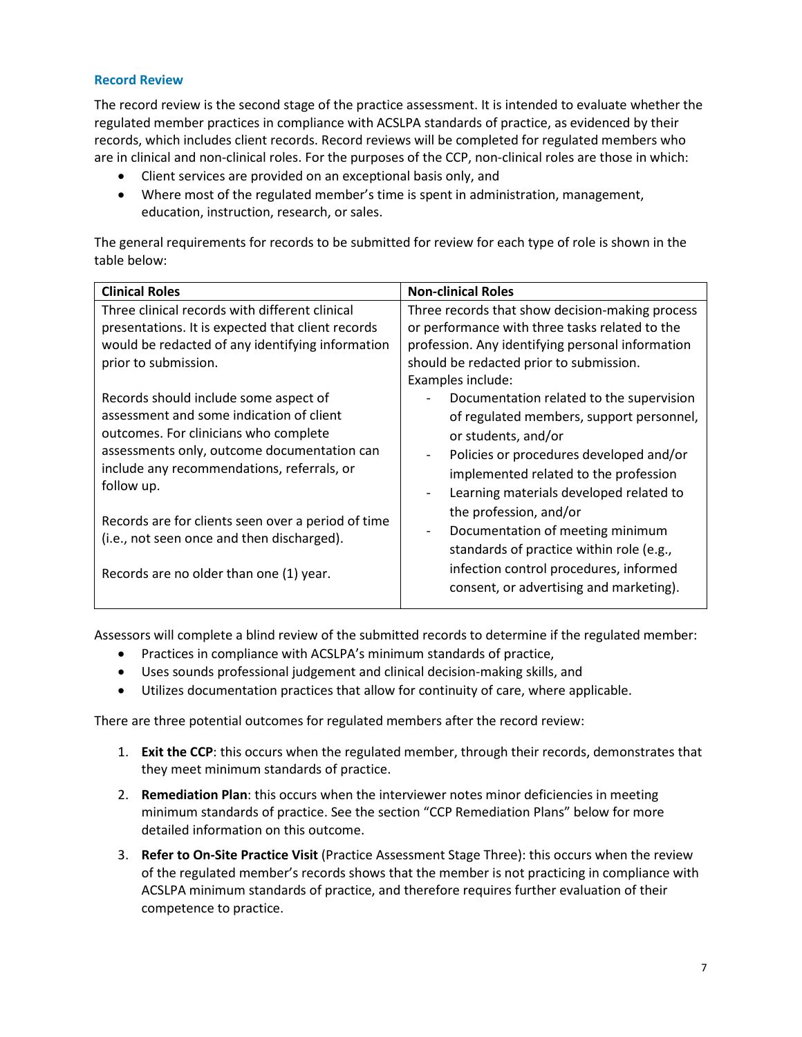#### **Record Review**

The record review is the second stage of the practice assessment. It is intended to evaluate whether the regulated member practices in compliance with ACSLPA standards of practice, as evidenced by their records, which includes client records. Record reviews will be completed for regulated members who are in clinical and non-clinical roles. For the purposes of the CCP, non-clinical roles are those in which:

- Client services are provided on an exceptional basis only, and
- Where most of the regulated member's time is spent in administration, management, education, instruction, research, or sales.

The general requirements for records to be submitted for review for each type of role is shown in the table below:

| <b>Clinical Roles</b>                                                                                                                                                                                                                                                                                                                                                                | <b>Non-clinical Roles</b>                                                                                                                                                                                                                                                                                                                                                                                                                                             |
|--------------------------------------------------------------------------------------------------------------------------------------------------------------------------------------------------------------------------------------------------------------------------------------------------------------------------------------------------------------------------------------|-----------------------------------------------------------------------------------------------------------------------------------------------------------------------------------------------------------------------------------------------------------------------------------------------------------------------------------------------------------------------------------------------------------------------------------------------------------------------|
| Three clinical records with different clinical<br>presentations. It is expected that client records<br>would be redacted of any identifying information<br>prior to submission.                                                                                                                                                                                                      | Three records that show decision-making process<br>or performance with three tasks related to the<br>profession. Any identifying personal information<br>should be redacted prior to submission.<br>Examples include:                                                                                                                                                                                                                                                 |
| Records should include some aspect of<br>assessment and some indication of client<br>outcomes. For clinicians who complete<br>assessments only, outcome documentation can<br>include any recommendations, referrals, or<br>follow up.<br>Records are for clients seen over a period of time<br>(i.e., not seen once and then discharged).<br>Records are no older than one (1) year. | Documentation related to the supervision<br>of regulated members, support personnel,<br>or students, and/or<br>Policies or procedures developed and/or<br>implemented related to the profession<br>Learning materials developed related to<br>$\overline{\phantom{a}}$<br>the profession, and/or<br>Documentation of meeting minimum<br>standards of practice within role (e.g.,<br>infection control procedures, informed<br>consent, or advertising and marketing). |

Assessors will complete a blind review of the submitted records to determine if the regulated member:

- Practices in compliance with ACSLPA's minimum standards of practice,
- Uses sounds professional judgement and clinical decision-making skills, and
- Utilizes documentation practices that allow for continuity of care, where applicable.

There are three potential outcomes for regulated members after the record review:

- 1. **Exit the CCP**: this occurs when the regulated member, through their records, demonstrates that they meet minimum standards of practice.
- 2. **Remediation Plan**: this occurs when the interviewer notes minor deficiencies in meeting minimum standards of practice. See the section "CCP Remediation Plans" below for more detailed information on this outcome.
- 3. **Refer to On-Site Practice Visit** (Practice Assessment Stage Three): this occurs when the review of the regulated member's records shows that the member is not practicing in compliance with ACSLPA minimum standards of practice, and therefore requires further evaluation of their competence to practice.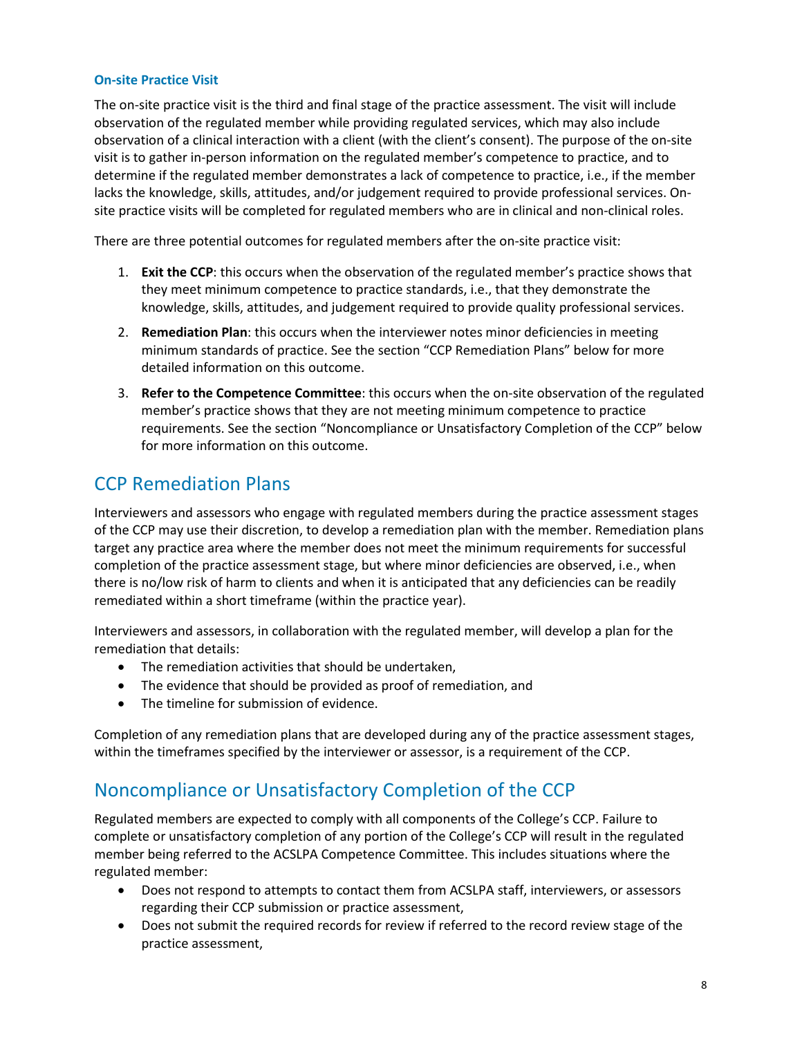### **On-site Practice Visit**

The on-site practice visit is the third and final stage of the practice assessment. The visit will include observation of the regulated member while providing regulated services, which may also include observation of a clinical interaction with a client (with the client's consent). The purpose of the on-site visit is to gather in-person information on the regulated member's competence to practice, and to determine if the regulated member demonstrates a lack of competence to practice, i.e., if the member lacks the knowledge, skills, attitudes, and/or judgement required to provide professional services. Onsite practice visits will be completed for regulated members who are in clinical and non-clinical roles.

There are three potential outcomes for regulated members after the on-site practice visit:

- 1. **Exit the CCP**: this occurs when the observation of the regulated member's practice shows that they meet minimum competence to practice standards, i.e., that they demonstrate the knowledge, skills, attitudes, and judgement required to provide quality professional services.
- 2. **Remediation Plan**: this occurs when the interviewer notes minor deficiencies in meeting minimum standards of practice. See the section "CCP Remediation Plans" below for more detailed information on this outcome.
- 3. **Refer to the Competence Committee**: this occurs when the on-site observation of the regulated member's practice shows that they are not meeting minimum competence to practice requirements. See the section "Noncompliance or Unsatisfactory Completion of the CCP" below for more information on this outcome.

# CCP Remediation Plans

Interviewers and assessors who engage with regulated members during the practice assessment stages of the CCP may use their discretion, to develop a remediation plan with the member. Remediation plans target any practice area where the member does not meet the minimum requirements for successful completion of the practice assessment stage, but where minor deficiencies are observed, i.e., when there is no/low risk of harm to clients and when it is anticipated that any deficiencies can be readily remediated within a short timeframe (within the practice year).

Interviewers and assessors, in collaboration with the regulated member, will develop a plan for the remediation that details:

- The remediation activities that should be undertaken,
- The evidence that should be provided as proof of remediation, and
- The timeline for submission of evidence.

Completion of any remediation plans that are developed during any of the practice assessment stages, within the timeframes specified by the interviewer or assessor, is a requirement of the CCP.

# Noncompliance or Unsatisfactory Completion of the CCP

Regulated members are expected to comply with all components of the College's CCP. Failure to complete or unsatisfactory completion of any portion of the College's CCP will result in the regulated member being referred to the ACSLPA Competence Committee. This includes situations where the regulated member:

- Does not respond to attempts to contact them from ACSLPA staff, interviewers, or assessors regarding their CCP submission or practice assessment,
- Does not submit the required records for review if referred to the record review stage of the practice assessment,